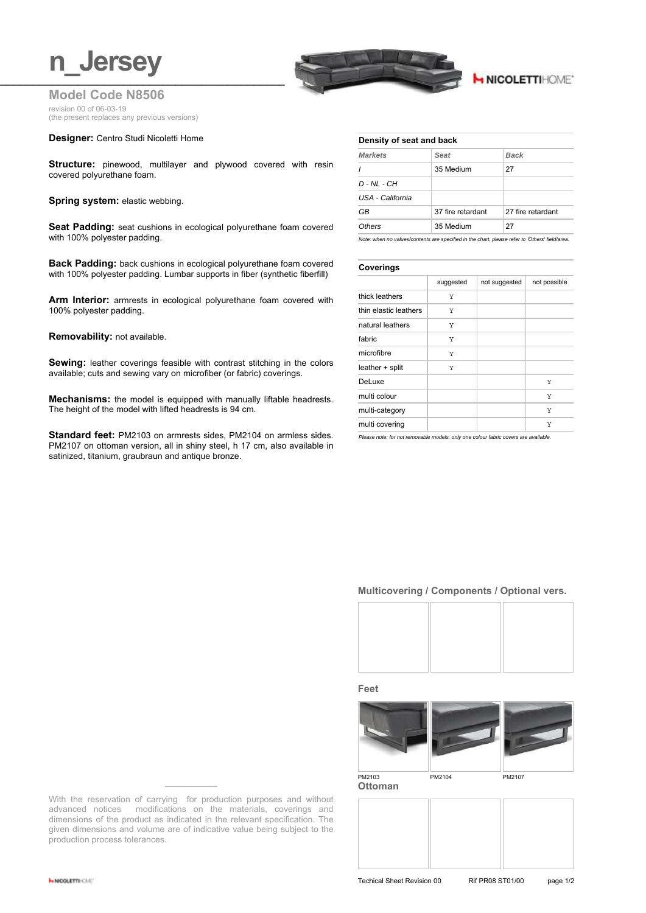# **n** Jersey



## **H NICOLETTIHOME'**

**Model Code N8506** revision 00 of 06-03-19 (the present replaces any previous versions)

#### **Designer:** Centro Studi Nicoletti Home

**Structure:** pinewood, multilayer and plywood covered with resin covered polyurethane foam.

**Spring system: elastic webbing.** 

**Seat Padding:** seat cushions in ecological polyurethane foam covered with 100% polyester padding.

**Back Padding:** back cushions in ecological polyurethane foam covered with 100% polyester padding. Lumbar supports in fiber (synthetic fiberfill)

**Arm Interior:** armrests in ecological polyurethane foam covered with 100% polyester padding.

#### **Removability:** not available.

**Sewing:** leather coverings feasible with contrast stitching in the colors available; cuts and sewing vary on microfiber (or fabric) coverings.

**Mechanisms:** the model is equipped with manually liftable headrests. The height of the model with lifted headrests is 94 cm.

**Standard feet:** PM2103 on armrests sides, PM2104 on armless sides. PM2107 on ottoman version, all in shiny steel, h 17 cm, also available in satinized, titanium, graubraun and antique bronze.

| <b>Markets</b>   | Seat              | <b>Back</b>       |  |
|------------------|-------------------|-------------------|--|
| $\prime$         | 35 Medium         | 27                |  |
| D - NL - CH      |                   |                   |  |
| USA - California |                   |                   |  |
| GB               | 37 fire retardant | 27 fire retardant |  |
| Others           | 35 Medium         | 27                |  |
|                  |                   |                   |  |

*Note: when no values/contents are specified in the chart, please refer to 'Others' field/area.*

#### **Coverings**

| . <u>.</u> .          |           |               |              |  |
|-----------------------|-----------|---------------|--------------|--|
|                       | suggested | not suggested | not possible |  |
| thick leathers        | Υ         |               |              |  |
| thin elastic leathers | Υ         |               |              |  |
| natural leathers      | Υ         |               |              |  |
| fabric                | Υ         |               |              |  |
| microfibre            | Υ         |               |              |  |
| leather + split       | Υ         |               |              |  |
| DeLuxe                |           |               | Υ            |  |
| multi colour          |           |               | Υ            |  |
| multi-category        |           |               | Y            |  |
| multi covering        |           |               | Y            |  |
|                       |           |               |              |  |

*Please note: for not removable models, only one colour fabric covers are available.*

#### **Multicovering / Components / Optional vers.**



**Feet**



**Ottoman**



With the reservation of carrying for production purposes and without advanced notices modifications on the materials, coverings and dimensions of the product as indicated in the relevant specification. The given dimensions and volume are of indicative value being subject to the production process tolerances.